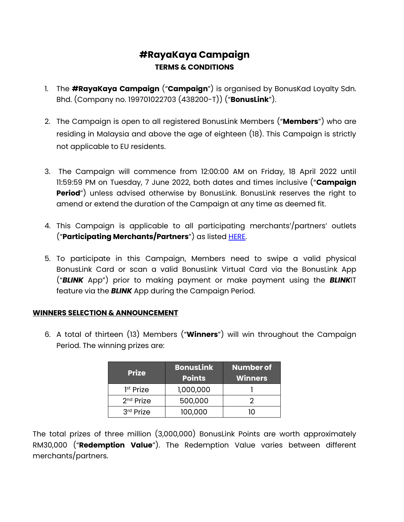## **#RayaKaya Campaign TERMS & CONDITIONS**

- 1. The **#RayaKaya Campaign** ("**Campaign**") is organised by BonusKad Loyalty Sdn. Bhd. (Company no. 199701022703 (438200-T)) ("**BonusLink**").
- 2. The Campaign is open to all registered BonusLink Members ("**Members**") who are residing in Malaysia and above the age of eighteen (18). This Campaign is strictly not applicable to EU residents.
- 3. The Campaign will commence from 12:00:00 AM on Friday, 18 April 2022 until 11:59:59 PM on Tuesday, 7 June 2022, both dates and times inclusive ("**Campaign Period**") unless advised otherwise by BonusLink. BonusLink reserves the right to amend or extend the duration of the Campaign at any time as deemed fit.
- 4. This Campaign is applicable to all participating merchants'/partners' outlets ("**Participating Merchants/Partners**") as listed [HERE.](https://library2.bonuslink.com.my/Highlight/Content/3717/PartnerListing.pdf)
- 5. To participate in this Campaign, Members need to swipe a valid physical BonusLink Card or scan a valid BonusLink Virtual Card via the BonusLink App ("*BLINK* App") prior to making payment or make payment using the *BLINK*IT feature via the *BLINK* App during the Campaign Period.

## **WINNERS SELECTION & ANNOUNCEMENT**

6. A total of thirteen (13) Members ("**Winners**") will win throughout the Campaign Period. The winning prizes are:

| <b>Prize</b>          | <b>BonusLink</b><br><b>Points</b> | <b>Number of</b><br><b>Winners</b> |
|-----------------------|-----------------------------------|------------------------------------|
| 1 <sup>st</sup> Prize | 1,000,000                         |                                    |
| $2nd$ Prize           | 500,000                           |                                    |
| 3rd Prize             | 100,000                           | ו ו                                |

The total prizes of three million (3,000,000) BonusLink Points are worth approximately RM30,000 ("**Redemption Value**"). The Redemption Value varies between different merchants/partners.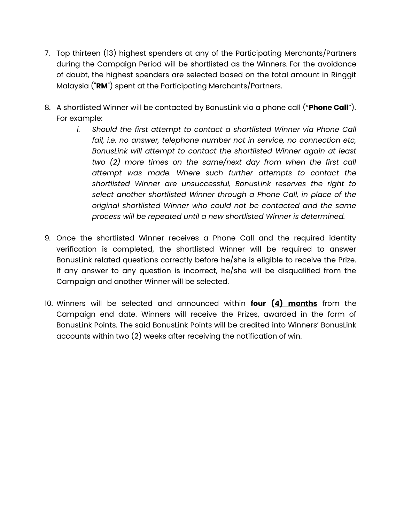- 7. Top thirteen (13) highest spenders at any of the Participating Merchants/Partners during the Campaign Period will be shortlisted as the Winners. For the avoidance of doubt, the highest spenders are selected based on the total amount in Ringgit Malaysia ("**RM**") spent at the Participating Merchants/Partners.
- 8. A shortlisted Winner will be contacted by BonusLink via a phone call ("**Phone Call**"). For example:
	- *i. Should the first attempt to contact a shortlisted Winner via Phone Call fail, i.e. no answer, telephone number not in service, no connection etc, BonusLink will attempt to contact the shortlisted Winner again at least two (2) more times on the same/next day from when the first call attempt was made. Where such further attempts to contact the shortlisted Winner are unsuccessful, BonusLink reserves the right to select another shortlisted Winner through a Phone Call, in place of the original shortlisted Winner who could not be contacted and the same process will be repeated until a new shortlisted Winner is determined.*
- 9. Once the shortlisted Winner receives a Phone Call and the required identity verification is completed, the shortlisted Winner will be required to answer BonusLink related questions correctly before he/she is eligible to receive the Prize. If any answer to any question is incorrect, he/she will be disqualified from the Campaign and another Winner will be selected.
- 10. Winners will be selected and announced within **four (4) months** from the Campaign end date. Winners will receive the Prizes, awarded in the form of BonusLink Points. The said BonusLink Points will be credited into Winners' BonusLink accounts within two (2) weeks after receiving the notification of win.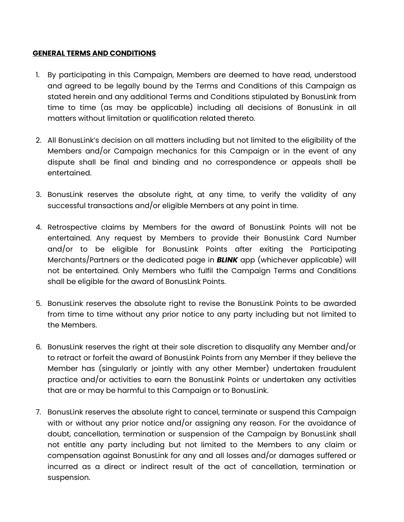## **GENERAL TERMS AND CONDITIONS**

- 1. By participating in this Campaign, Members are deemed to have read, understood and agreed to be legally bound by the Terms and Conditions of this Campaign as stated herein and any additional Terms and Conditions stipulated by BonusLink from time to time (as may be applicable) including all decisions of BonusLink in all matters without limitation or qualification related thereto.
- 2. All BonusLink's decision on all matters including but not limited to the eligibility of the Members and/or Campaign mechanics for this Campaign or in the event of any dispute shall be final and binding and no correspondence or appeals shall be entertained.
- 3. BonusLink reserves the absolute right, at any time, to verify the validity of any successful transactions and/or eligible Members at any point in time.
- 4. Retrospective claims by Members for the award of BonusLink Points will not be entertained. Any request by Members to provide their BonusLink Card Number and/or to be eligible for BonusLink Points after exiting the Participating Merchants/Partners or the dedicated page in *BLINK* app (whichever applicable) will not be entertained. Only Members who fulfil the Campaign Terms and Conditions shall be eligible for the award of BonusLink Points.
- 5. BonusLink reserves the absolute right to revise the BonusLink Points to be awarded from time to time without any prior notice to any party including but not limited to the Members.
- 6. BonusLink reserves the right at their sole discretion to disqualify any Member and/or to retract or forfeit the award of BonusLink Points from any Member if they believe the Member has (singularly or jointly with any other Member) undertaken fraudulent practice and/or activities to earn the BonusLink Points or undertaken any activities that are or may be harmful to this Campaign or to BonusLink.
- 7. BonusLink reserves the absolute right to cancel, terminate or suspend this Campaign with or without any prior notice and/or assigning any reason. For the avoidance of doubt, cancellation, termination or suspension of the Campaign by BonusLink shall not entitle any party including but not limited to the Members to any claim or compensation against BonusLink for any and all losses and/or damages suffered or incurred as a direct or indirect result of the act of cancellation, termination or suspension.